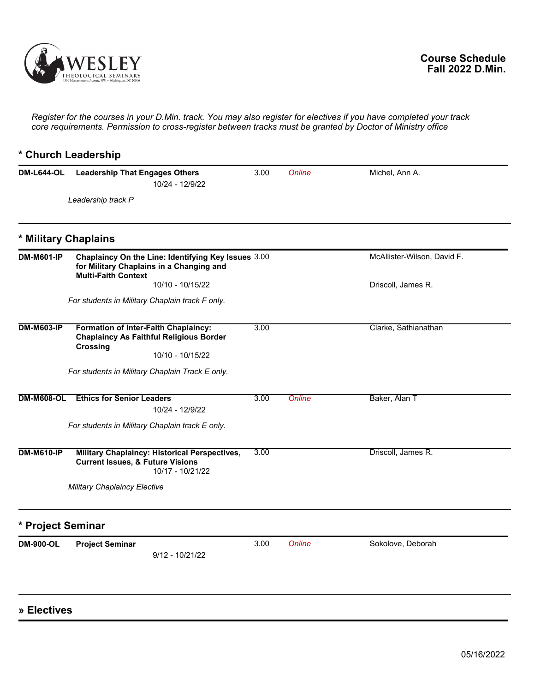

*Register for the courses in your D.Min. track. You may also register for electives if you have completed your track core requirements. Permission to cross-register between tracks must be granted by Doctor of Ministry office*

## **\* Church Leadership DM-L644-OL** Leadership That Engages Others 3.00 Online Michel, Ann A. *Leadership track P* 10/24 - 12/9/22 **\* Military Chaplains DM-M601-IP Chaplaincy On the Line: Identifying Key Issues for Military Chaplains in a Changing and Multi-Faith Context** McAllister-Wilson, David F. Driscoll, James R. *For students in Military Chaplain track F only.* 10/10 - 10/15/22 **DM-M603-IP Formation of Inter-Faith Chaplaincy: Chaplaincy As Faithful Religious Border Crossing** 3.00 Clarke, Sathianathan *For students in Military Chaplain Track E only.* 10/10 - 10/15/22 **DM-M608-OL Ethics for Senior Leaders** 3.00 Online Baker, Alan T *For students in Military Chaplain track E only.* 10/24 - 12/9/22 **DM-M610-IP Military Chaplaincy: Historical Perspectives, Current Issues, & Future Visions** 3.00 Driscoll, James R. *Military Chaplaincy Elective* 10/17 - 10/21/22 **\* Project Seminar DM-900-OL Project Seminar** 3.00 *Online* Sokolove, Deborah 9/12 - 10/21/22

## **» Electives**